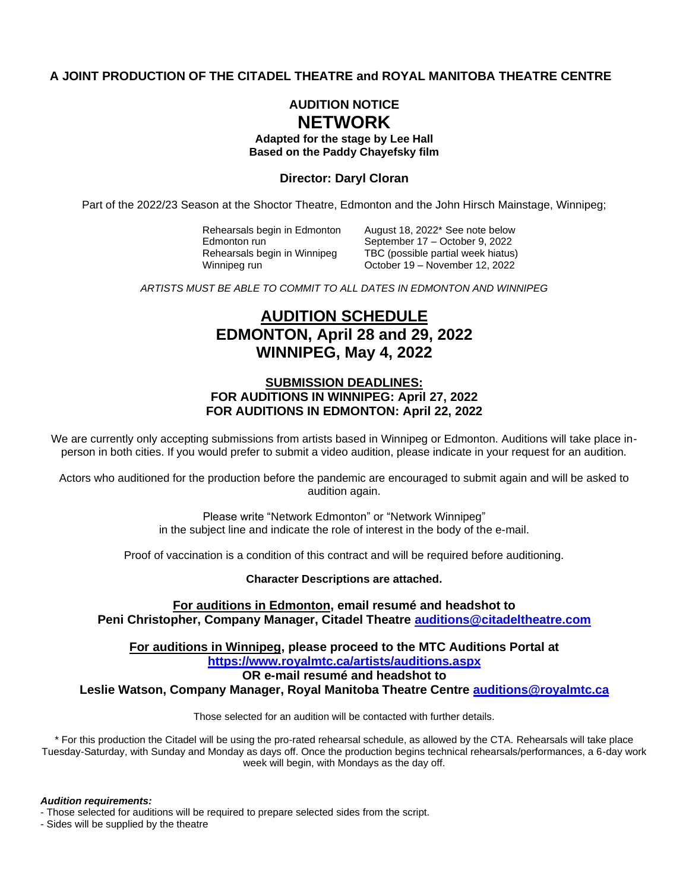## **A JOINT PRODUCTION OF THE CITADEL THEATRE and ROYAL MANITOBA THEATRE CENTRE**

# **AUDITION NOTICE NETWORK**

**Adapted for the stage by Lee Hall Based on the Paddy Chayefsky film**

### **Director: Daryl Cloran**

Part of the 2022/23 Season at the Shoctor Theatre, Edmonton and the John Hirsch Mainstage, Winnipeg;

Rehearsals begin in Edmonton August 18, 2022\* See note below

Edmonton run **September 17 – October 9, 2022**<br>Rehearsals begin in Winnipeg **TBC** (possible partial week hiatus) TBC (possible partial week hiatus) Winnipeg run **Community Corporation Corporation Corporation Corporation Corporation Corporation Corporation Corporation Corporation Corporation Corporation Corporation Corporation Corporation Corporation Corporation Corpor** 

*ARTISTS MUST BE ABLE TO COMMIT TO ALL DATES IN EDMONTON AND WINNIPEG*

# **AUDITION SCHEDULE EDMONTON, April 28 and 29, 2022 WINNIPEG, May 4, 2022**

## **SUBMISSION DEADLINES: FOR AUDITIONS IN WINNIPEG: April 27, 2022 FOR AUDITIONS IN EDMONTON: April 22, 2022**

We are currently only accepting submissions from artists based in Winnipeg or Edmonton. Auditions will take place inperson in both cities. If you would prefer to submit a video audition, please indicate in your request for an audition.

Actors who auditioned for the production before the pandemic are encouraged to submit again and will be asked to audition again.

> Please write "Network Edmonton" or "Network Winnipeg" in the subject line and indicate the role of interest in the body of the e-mail.

Proof of vaccination is a condition of this contract and will be required before auditioning.

**Character Descriptions are attached.**

**For auditions in Edmonton, email resumé and headshot to Peni Christopher, Company Manager, Citadel Theatre [auditions@citadeltheatre.com](mailto:auditions@citadeltheatre.com)**

**For auditions in Winnipeg, please proceed to the MTC Auditions Portal at <https://www.royalmtc.ca/artists/auditions.aspx>**

**OR e-mail resumé and headshot to**

**Leslie Watson, Company Manager, Royal Manitoba Theatre Centre [auditions@royalmtc.ca](mailto:auditions@royalmtc.ca)**

Those selected for an audition will be contacted with further details.

\* For this production the Citadel will be using the pro-rated rehearsal schedule, as allowed by the CTA. Rehearsals will take place Tuesday-Saturday, with Sunday and Monday as days off. Once the production begins technical rehearsals/performances, a 6-day work week will begin, with Mondays as the day off.

*Audition requirements:* 

- Those selected for auditions will be required to prepare selected sides from the script.

- Sides will be supplied by the theatre